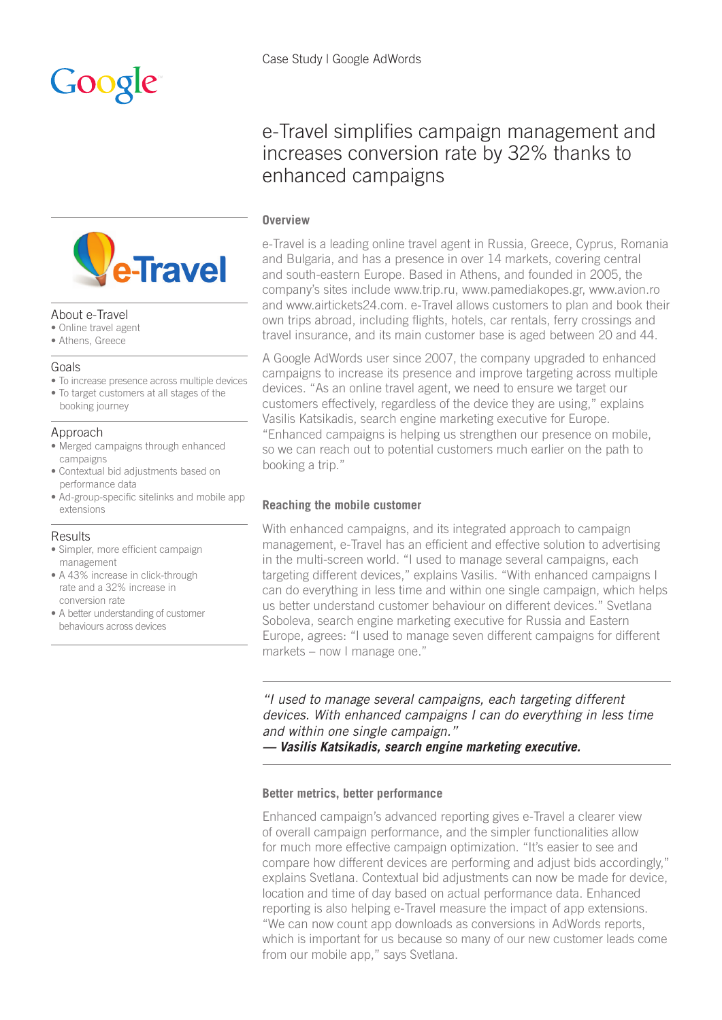

### About e-Travel

- Online travel agent
- Athens, Greece

### Goals

- To increase presence across multiple devices
- To target customers at all stages of the booking journey

## Approach

- Merged campaigns through enhanced campaigns
- Contextual bid adjustments based on performance data
- Ad-group-specific sitelinks and mobile app extensions

### **Results**

- Simpler, more efficient campaign management
- A 43% increase in click-through rate and a 32% increase in conversion rate
- A better understanding of customer behaviours across devices

# e-Travel simplifies campaign management and increases conversion rate by 32% thanks to enhanced campaigns

## **Overview**

e-Travel is a leading online travel agent in Russia, Greece, Cyprus, Romania and Bulgaria, and has a presence in over 14 markets, covering central and south-eastern Europe. Based in Athens, and founded in 2005, the company's sites include www.trip.ru, www.pamediakopes.gr, www.avion.ro and www.airtickets24.com. e-Travel allows customers to plan and book their own trips abroad, including flights, hotels, car rentals, ferry crossings and travel insurance, and its main customer base is aged between 20 and 44.

A Google AdWords user since 2007, the company upgraded to enhanced campaigns to increase its presence and improve targeting across multiple devices. "As an online travel agent, we need to ensure we target our customers effectively, regardless of the device they are using," explains Vasilis Katsikadis, search engine marketing executive for Europe. "Enhanced campaigns is helping us strengthen our presence on mobile, so we can reach out to potential customers much earlier on the path to booking a trip."

## **Reaching the mobile customer**

With enhanced campaigns, and its integrated approach to campaign management, e-Travel has an efficient and effective solution to advertising in the multi-screen world. "I used to manage several campaigns, each targeting different devices," explains Vasilis. "With enhanced campaigns I can do everything in less time and within one single campaign, which helps us better understand customer behaviour on different devices." Svetlana Soboleva, search engine marketing executive for Russia and Eastern Europe, agrees: "I used to manage seven different campaigns for different markets – now I manage one."

*"I used to manage several campaigns, each targeting different devices. With enhanced campaigns I can do everything in less time and within one single campaign."* 

*— Vasilis Katsikadis, search engine marketing executive.*

### **Better metrics, better performance**

Enhanced campaign's advanced reporting gives e-Travel a clearer view of overall campaign performance, and the simpler functionalities allow for much more effective campaign optimization. "It's easier to see and compare how different devices are performing and adjust bids accordingly," explains Svetlana. Contextual bid adjustments can now be made for device, location and time of day based on actual performance data. Enhanced reporting is also helping e-Travel measure the impact of app extensions. "We can now count app downloads as conversions in AdWords reports, which is important for us because so many of our new customer leads come from our mobile app," says Svetlana.